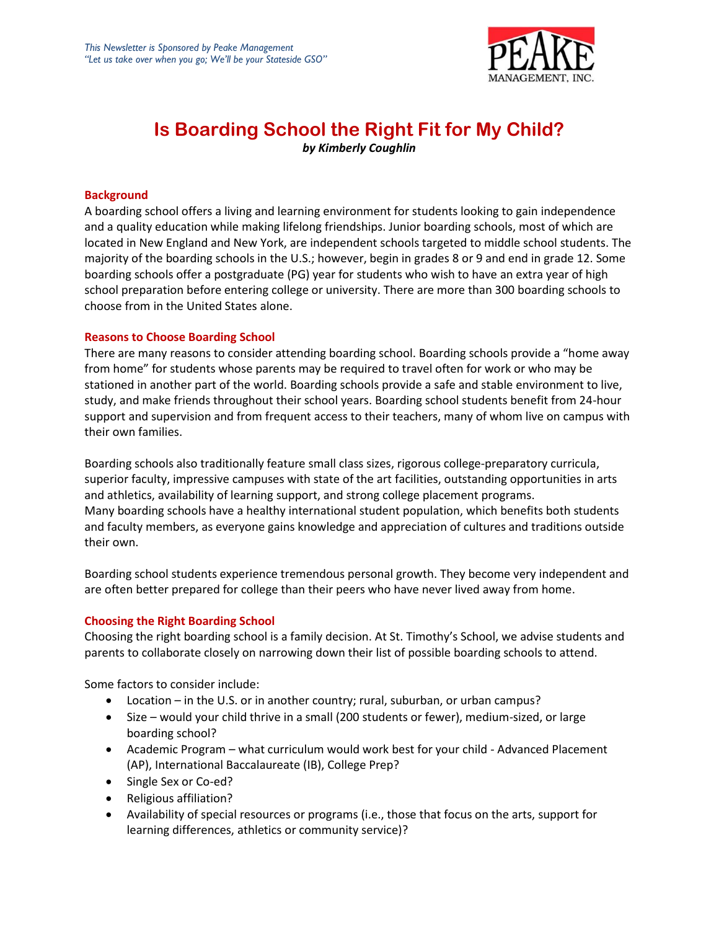

# **Is Boarding School the Right Fit for My Child?** *by Kimberly Coughlin*

#### **Background**

A boarding school offers a living and learning environment for students looking to gain independence and a quality education while making lifelong friendships. Junior boarding schools, most of which are located in New England and New York, are independent schools targeted to middle school students. The majority of the boarding schools in the U.S.; however, begin in grades 8 or 9 and end in grade 12. Some boarding schools offer a postgraduate (PG) year for students who wish to have an extra year of high school preparation before entering college or university. There are more than 300 boarding schools to choose from in the United States alone.

#### **Reasons to Choose Boarding School**

There are many reasons to consider attending boarding school. Boarding schools provide a "home away from home" for students whose parents may be required to travel often for work or who may be stationed in another part of the world. Boarding schools provide a safe and stable environment to live, study, and make friends throughout their school years. Boarding school students benefit from 24-hour support and supervision and from frequent access to their teachers, many of whom live on campus with their own families.

Boarding schools also traditionally feature small class sizes, rigorous college-preparatory curricula, superior faculty, impressive campuses with state of the art facilities, outstanding opportunities in arts and athletics, availability of learning support, and strong college placement programs. Many boarding schools have a healthy international student population, which benefits both students and faculty members, as everyone gains knowledge and appreciation of cultures and traditions outside their own.

Boarding school students experience tremendous personal growth. They become very independent and are often better prepared for college than their peers who have never lived away from home.

### **Choosing the Right Boarding School**

Choosing the right boarding school is a family decision. At St. Timothy's School, we advise students and parents to collaborate closely on narrowing down their list of possible boarding schools to attend.

Some factors to consider include:

- Location in the U.S. or in another country; rural, suburban, or urban campus?
- Size would your child thrive in a small (200 students or fewer), medium-sized, or large boarding school?
- Academic Program what curriculum would work best for your child Advanced Placement (AP), International Baccalaureate (IB), College Prep?
- Single Sex or Co-ed?
- Religious affiliation?
- Availability of special resources or programs (i.e., those that focus on the arts, support for learning differences, athletics or community service)?